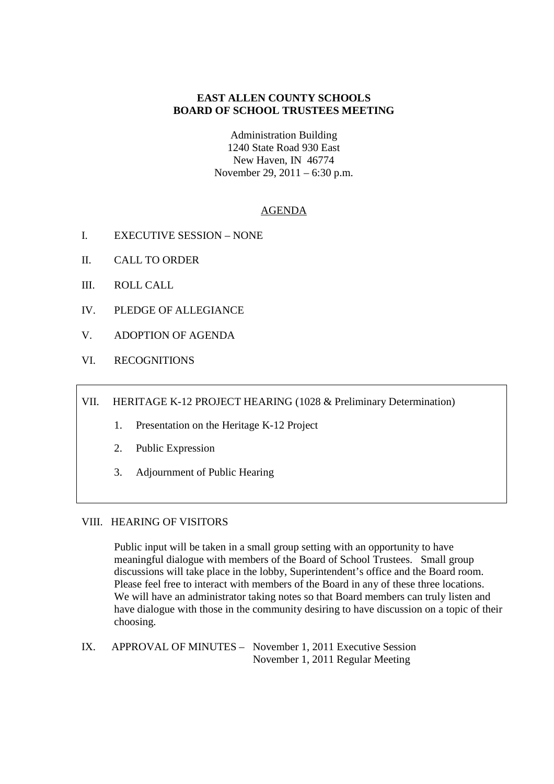# **EAST ALLEN COUNTY SCHOOLS BOARD OF SCHOOL TRUSTEES MEETING**

Administration Building 1240 State Road 930 East New Haven, IN 46774 November 29, 2011 – 6:30 p.m.

## AGENDA

- I. EXECUTIVE SESSION NONE
- II. CALL TO ORDER
- III. ROLL CALL
- IV. PLEDGE OF ALLEGIANCE
- V. ADOPTION OF AGENDA
- VI. RECOGNITIONS

VII. HERITAGE K-12 PROJECT HEARING (1028 & Preliminary Determination)

- 1. Presentation on the Heritage K-12 Project
- 2. Public Expression
- 3. Adjournment of Public Hearing

## VIII. HEARING OF VISITORS

Public input will be taken in a small group setting with an opportunity to have meaningful dialogue with members of the Board of School Trustees. Small group discussions will take place in the lobby, Superintendent's office and the Board room. Please feel free to interact with members of the Board in any of these three locations. We will have an administrator taking notes so that Board members can truly listen and have dialogue with those in the community desiring to have discussion on a topic of their choosing.

IX. APPROVAL OF MINUTES – November 1, 2011 Executive Session November 1, 2011 Regular Meeting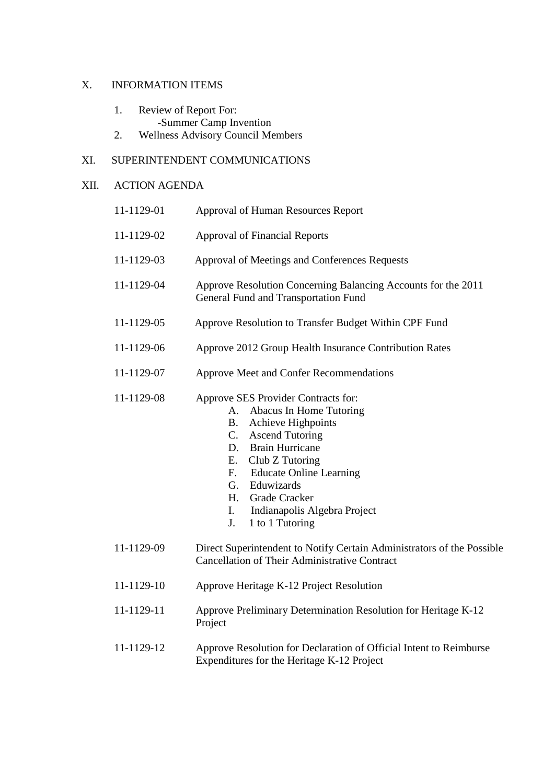# X. INFORMATION ITEMS

- 1. Review of Report For:
- -Summer Camp Invention<br>2. Wellness Advisory Council Me
- Wellness Advisory Council Members

# XI. SUPERINTENDENT COMMUNICATIONS

## XII. ACTION AGENDA

| 11-1129-01 | Approval of Human Resources Report                                                                                                                                                                                                                                                                                                                                      |
|------------|-------------------------------------------------------------------------------------------------------------------------------------------------------------------------------------------------------------------------------------------------------------------------------------------------------------------------------------------------------------------------|
| 11-1129-02 | <b>Approval of Financial Reports</b>                                                                                                                                                                                                                                                                                                                                    |
| 11-1129-03 | Approval of Meetings and Conferences Requests                                                                                                                                                                                                                                                                                                                           |
| 11-1129-04 | Approve Resolution Concerning Balancing Accounts for the 2011<br>General Fund and Transportation Fund                                                                                                                                                                                                                                                                   |
| 11-1129-05 | Approve Resolution to Transfer Budget Within CPF Fund                                                                                                                                                                                                                                                                                                                   |
| 11-1129-06 | Approve 2012 Group Health Insurance Contribution Rates                                                                                                                                                                                                                                                                                                                  |
| 11-1129-07 | Approve Meet and Confer Recommendations                                                                                                                                                                                                                                                                                                                                 |
| 11-1129-08 | Approve SES Provider Contracts for:<br>Abacus In Home Tutoring<br>А.<br>Achieve Highpoints<br><b>B.</b><br><b>Ascend Tutoring</b><br>$\mathbf{C}$ .<br><b>Brain Hurricane</b><br>D.<br>Club Z Tutoring<br>Е.<br><b>Educate Online Learning</b><br>$F_{\cdot}$<br>Eduwizards<br>G.<br>Grade Cracker<br>H.<br>Indianapolis Algebra Project<br>I.<br>1 to 1 Tutoring<br>J. |
| 11-1129-09 | Direct Superintendent to Notify Certain Administrators of the Possible<br>Cancellation of Their Administrative Contract                                                                                                                                                                                                                                                 |
| 11-1129-10 | Approve Heritage K-12 Project Resolution                                                                                                                                                                                                                                                                                                                                |
| 11-1129-11 | Approve Preliminary Determination Resolution for Heritage K-12<br>Project                                                                                                                                                                                                                                                                                               |
| 11-1129-12 | Approve Resolution for Declaration of Official Intent to Reimburse<br>Expenditures for the Heritage K-12 Project                                                                                                                                                                                                                                                        |